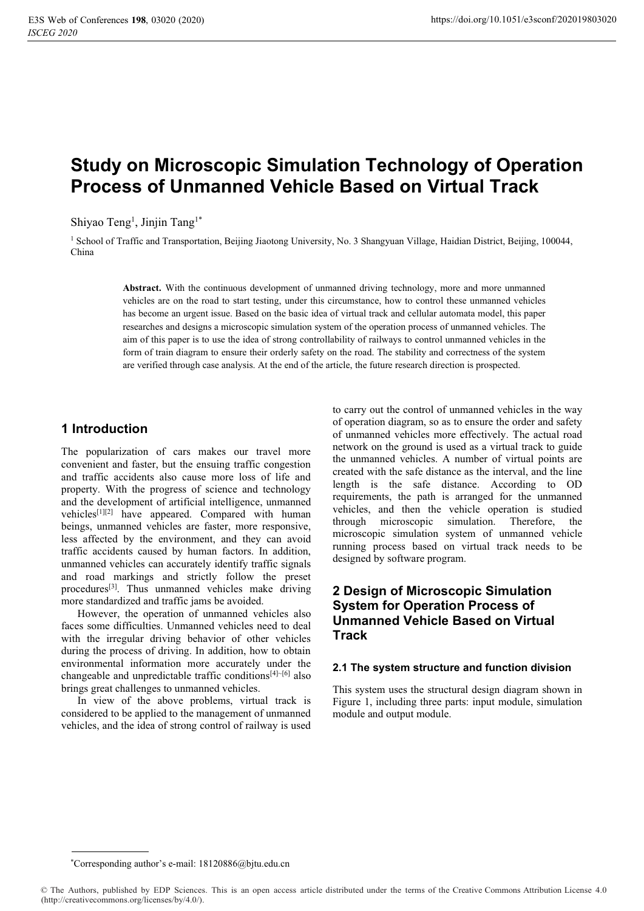# **Study on Microscopic Simulation Technology of Operation Process of Unmanned Vehicle Based on Virtual Track**

Shiyao Teng<sup>1</sup>, Jinjin Tang<sup>1\*</sup>

<sup>1</sup> School of Traffic and Transportation, Beijing Jiaotong University, No. 3 Shangyuan Village, Haidian District, Beijing, 100044, China

> **Abstract.** With the continuous development of unmanned driving technology, more and more unmanned vehicles are on the road to start testing, under this circumstance, how to control these unmanned vehicles has become an urgent issue. Based on the basic idea of virtual track and cellular automata model, this paper researches and designs a microscopic simulation system of the operation process of unmanned vehicles. The aim of this paper is to use the idea of strong controllability of railways to control unmanned vehicles in the form of train diagram to ensure their orderly safety on the road. The stability and correctness of the system are verified through case analysis. At the end of the article, the future research direction is prospected.

# **1 Introduction**

The popularization of cars makes our travel more convenient and faster, but the ensuing traffic congestion and traffic accidents also cause more loss of life and property. With the progress of science and technology and the development of artificial intelligence, unmanned vehicles<sup>[1][2]</sup> have appeared. Compared with human beings, unmanned vehicles are faster, more responsive, less affected by the environment, and they can avoid traffic accidents caused by human factors. In addition, unmanned vehicles can accurately identify traffic signals and road markings and strictly follow the preset procedures<sup>[3]</sup>. Thus unmanned vehicles make driving more standardized and traffic jams be avoided.

However, the operation of unmanned vehicles also faces some difficulties. Unmanned vehicles need to deal with the irregular driving behavior of other vehicles during the process of driving. In addition, how to obtain environmental information more accurately under the changeable and unpredictable traffic conditions[4]~[6] also brings great challenges to unmanned vehicles.

In view of the above problems, virtual track is considered to be applied to the management of unmanned vehicles, and the idea of strong control of railway is used

to carry out the control of unmanned vehicles in the way of operation diagram, so as to ensure the order and safety of unmanned vehicles more effectively. The actual road network on the ground is used as a virtual track to guide the unmanned vehicles. A number of virtual points are created with the safe distance as the interval, and the line length is the safe distance. According to OD requirements, the path is arranged for the unmanned vehicles, and then the vehicle operation is studied through microscopic simulation. Therefore, the microscopic simulation system of unmanned vehicle running process based on virtual track needs to be designed by software program.

# **2 Design of Microscopic Simulation System for Operation Process of Unmanned Vehicle Based on Virtual Track**

#### **2.1 The system structure and function division**

This system uses the structural design diagram shown in Figure 1, including three parts: input module, simulation module and output module.

<sup>\*</sup>Corresponding author's e-mail: 18120886@bjtu.edu.cn

<sup>©</sup> The Authors, published by EDP Sciences. This is an open access article distributed under the terms of the Creative Commons Attribution License 4.0 (http://creativecommons.org/licenses/by/4.0/).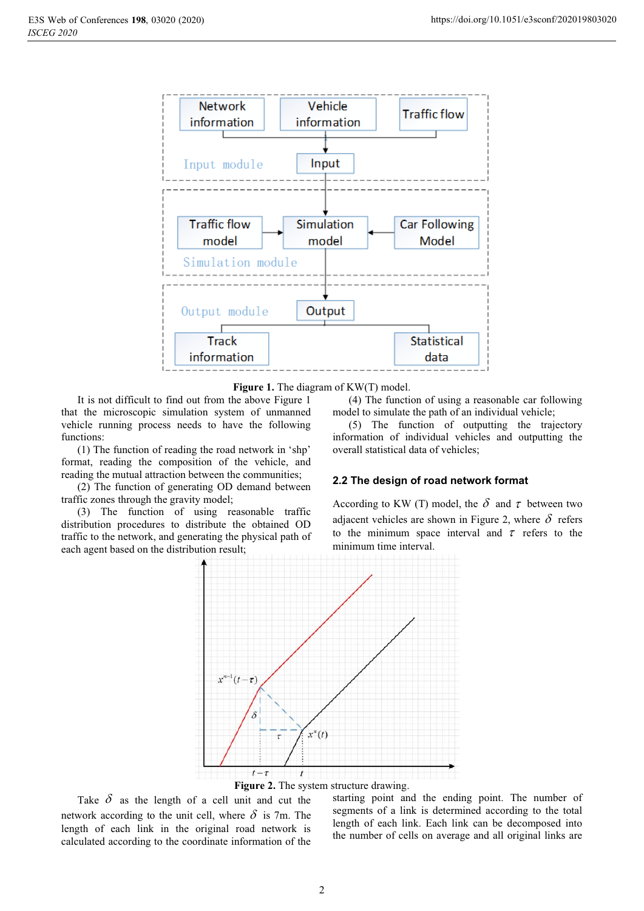

Figure 1. The diagram of KW(T) model.

It is not difficult to find out from the above Figure 1 that the microscopic simulation system of unmanned vehicle running process needs to have the following functions:

(1) The function of reading the road network in 'shp' format, reading the composition of the vehicle, and reading the mutual attraction between the communities;

(2) The function of generating OD demand between traffic zones through the gravity model;

(3) The function of using reasonable traffic distribution procedures to distribute the obtained OD traffic to the network, and generating the physical path of each agent based on the distribution result;

(4) The function of using a reasonable car following model to simulate the path of an individual vehicle;

(5) The function of outputting the trajectory information of individual vehicles and outputting the overall statistical data of vehicles;

### **2.2 The design of road network format**

According to KW (T) model, the  $\delta$  and  $\tau$  between two adjacent vehicles are shown in Figure 2, where  $\delta$  refers to the minimum space interval and  $\tau$  refers to the minimum time interval.





Take  $\delta$  as the length of a cell unit and cut the network according to the unit cell, where  $\delta$  is 7m. The length of each link in the original road network is calculated according to the coordinate information of the

starting point and the ending point. The number of segments of a link is determined according to the total length of each link. Each link can be decomposed into the number of cells on average and all original links are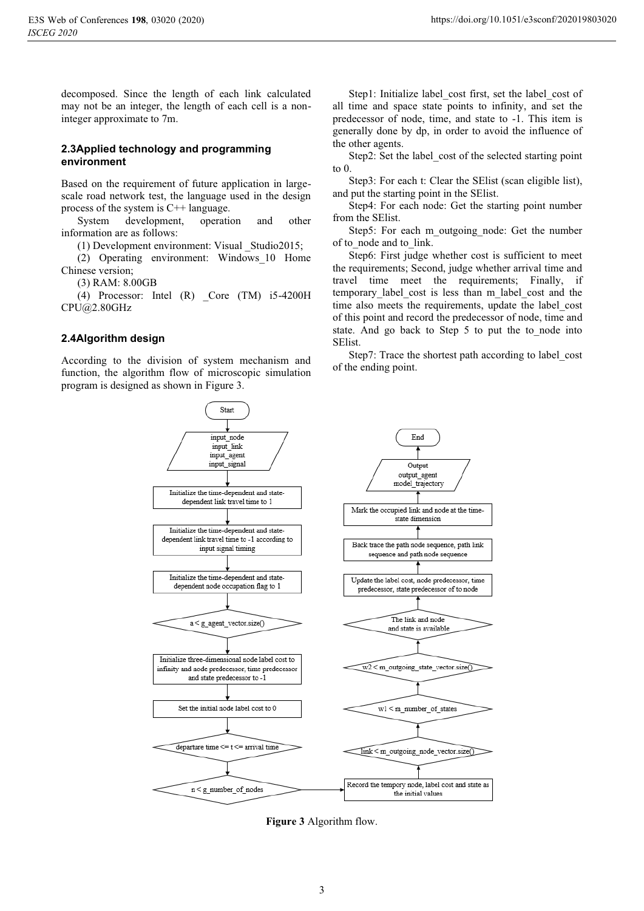decomposed. Since the length of each link calculated may not be an integer, the length of each cell is a noninteger approximate to 7m.

#### **2.3Applied technology and programming environment**

Based on the requirement of future application in largescale road network test, the language used in the design process of the system is C++ language.

System development, operation and other information are as follows:

(1) Development environment: Visual \_Studio2015;

(2) Operating environment: Windows\_10 Home Chinese version;

(3) RAM: 8.00GB

(4) Processor: Intel (R) \_Core (TM) i5-4200H CPU@2.80GHz

#### **2.4Algorithm design**

According to the division of system mechanism and function, the algorithm flow of microscopic simulation program is designed as shown in Figure 3.

Step1: Initialize label cost first, set the label cost of all time and space state points to infinity, and set the predecessor of node, time, and state to -1. This item is generally done by dp, in order to avoid the influence of the other agents.

Step2: Set the label\_cost of the selected starting point to 0.

Step3: For each t: Clear the SElist (scan eligible list), and put the starting point in the SElist.

Step4: For each node: Get the starting point number from the SElist.

Step5: For each m\_outgoing\_node: Get the number of to node and to link.

Step6: First judge whether cost is sufficient to meet the requirements; Second, judge whether arrival time and travel time meet the requirements; Finally, if temporary label cost is less than m\_label\_cost and the time also meets the requirements, update the label\_cost of this point and record the predecessor of node, time and state. And go back to Step 5 to put the to node into SElist.

Step7: Trace the shortest path according to label\_cost of the ending point.



**Figure 3** Algorithm flow.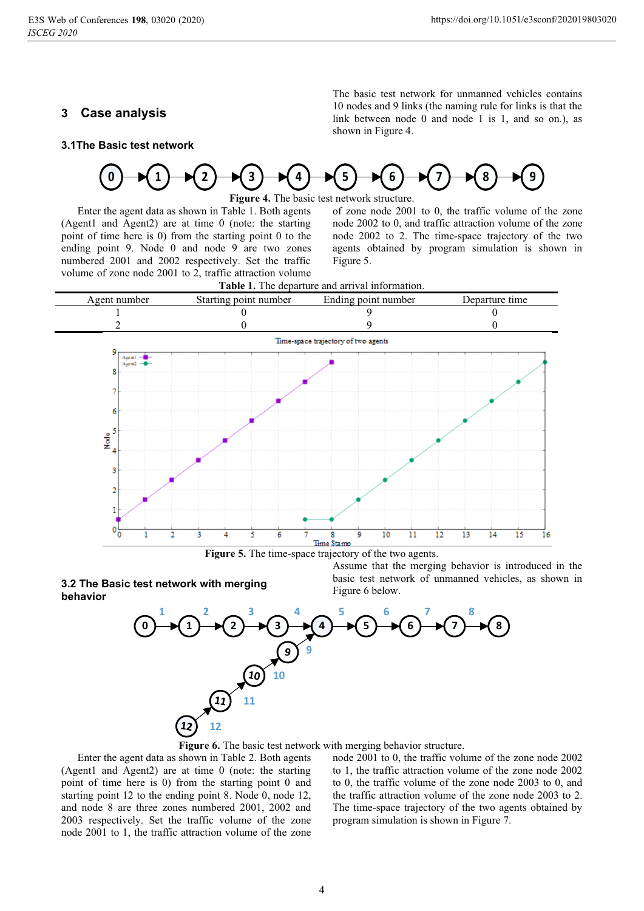## **3 Case analysis**

The basic test network for unmanned vehicles contains 10 nodes and 9 links (the naming rule for links is that the link between node 0 and node 1 is 1, and so on.), as shown in Figure 4.





**Figure 4.** The basic test network structure.

Enter the agent data as shown in Table 1. Both agents (Agent1 and Agent2) are at time 0 (note: the starting point of time here is 0) from the starting point 0 to the ending point 9. Node 0 and node 9 are two zones numbered 2001 and 2002 respectively. Set the traffic volume of zone node 2001 to 2, traffic attraction volume

of zone node 2001 to 0, the traffic volume of the zone node 2002 to 0, and traffic attraction volume of the zone node 2002 to 2. The time-space trajectory of the two agents obtained by program simulation is shown in Figure 5.



**Figure 5.** The time-space trajectory of the two agents.

#### **3.2 The Basic test network with merging behavior**

Assume that the merging behavior is introduced in the basic test network of unmanned vehicles, as shown in Figure 6 below.



**Figure 6.** The basic test network with merging behavior structure.

Enter the agent data as shown in Table 2. Both agents (Agent1 and Agent2) are at time 0 (note: the starting point of time here is 0) from the starting point 0 and starting point 12 to the ending point 8. Node 0, node 12, and node 8 are three zones numbered 2001, 2002 and 2003 respectively. Set the traffic volume of the zone node 2001 to 1, the traffic attraction volume of the zone

node 2001 to 0, the traffic volume of the zone node 2002 to 1, the traffic attraction volume of the zone node 2002 to 0, the traffic volume of the zone node 2003 to 0, and the traffic attraction volume of the zone node 2003 to 2. The time-space trajectory of the two agents obtained by program simulation is shown in Figure 7.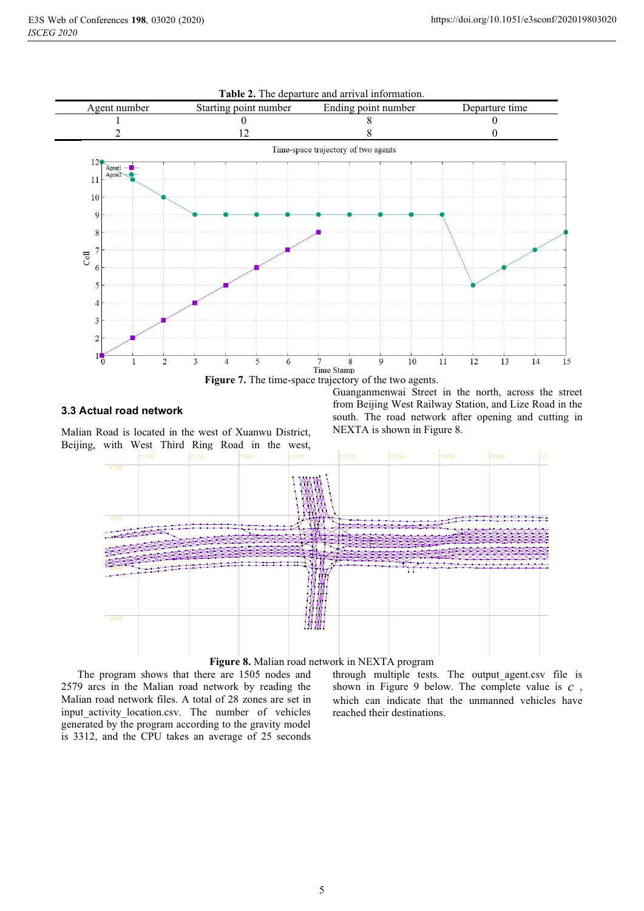

# **3.3 Actual road network**

Malian Road is located in the west of Xuanwu District, Beijing, with West Third Ring Road in the west, Guanganmenwai Street in the north, across the street from Beijing West Railway Station, and Lize Road in the south. The road network after opening and cutting in NEXTA is shown in Figure 8.





The program shows that there are 1505 nodes and 2579 arcs in the Malian road network by reading the Malian road network files. A total of 28 zones are set in input\_activity\_location.csv. The number of vehicles generated by the program according to the gravity model is 3312, and the CPU takes an average of 25 seconds through multiple tests. The output agent.csv file is shown in Figure 9 below. The complete value is *c* , which can indicate that the unmanned vehicles have reached their destinations.